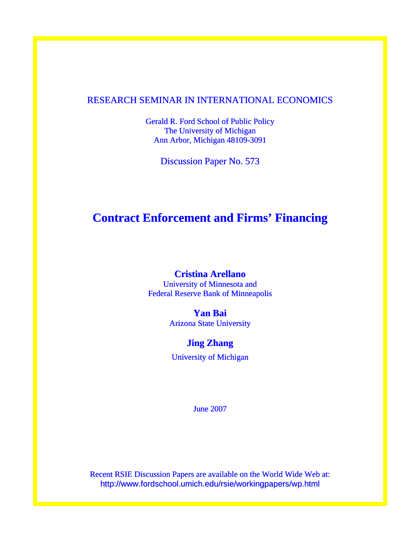### RESEARCH SEMINAR IN INTERNATIONAL ECONOMICS

Gerald R. Ford School of Public Policy The University of Michigan Ann Arbor, Michigan 48109-3091

Discussion Paper No. 573

# **Contract Enforcement and Firms' Financing**

### **Cristina Arellano**

University of Minnesota and Federal Reserve Bank of Minneapolis

**Yan Bai** 

Arizona State University

### **Jing Zhang**

University of Michigan

June 2007

Recent RSIE Discussion Papers are available on the World Wide Web at: http://www.fordschool.umich.edu/rsie/workingpapers/wp.html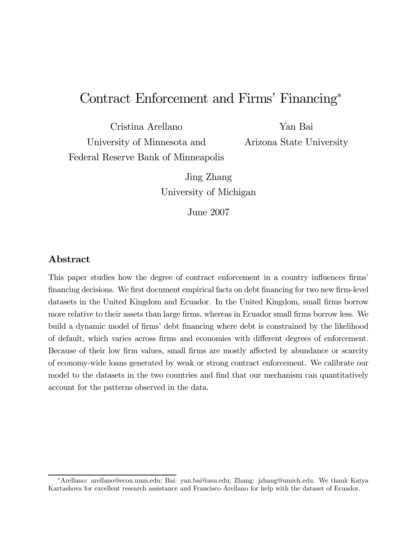# Contract Enforcement and Firms' Financing<sup>∗</sup>

Cristina Arellano University of Minnesota and Federal Reserve Bank of Minneapolis

Yan Bai Arizona State University

Jing Zhang University of Michigan

June 2007

### Abstract

This paper studies how the degree of contract enforcement in a country influences firms' financing decisions. We first document empirical facts on debt financing for two new firm-level datasets in the United Kingdom and Ecuador. In the United Kingdom, small firms borrow more relative to their assets than large firms, whereas in Ecuador small firms borrow less. We build a dynamic model of firms' debt financing where debt is constrained by the likelihood of default, which varies across firms and economies with different degrees of enforcement. Because of their low firm values, small firms are mostly affected by abundance or scarcity of economy-wide loans generated by weak or strong contract enforcement. We calibrate our model to the datasets in the two countries and find that our mechanism can quantitatively account for the patterns observed in the data.

<sup>∗</sup>Arellano: arellano@econ.umn.edu; Bai: yan.bai@asu.edu; Zhang: jzhang@umich.edu. We thank Katya Kartashova for excellent research assistance and Francisco Arellano for help with the dataset of Ecuador.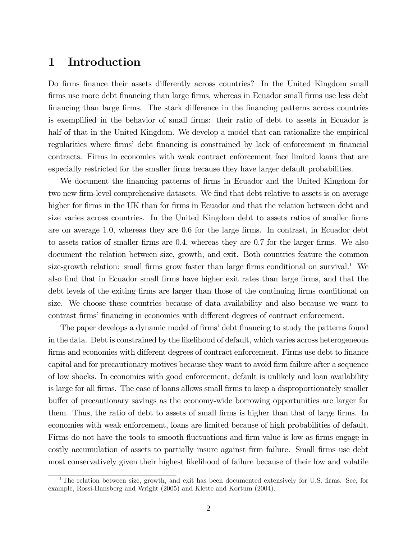## 1 Introduction

Do firms finance their assets differently across countries? In the United Kingdom small firms use more debt financing than large firms, whereas in Ecuador small firms use less debt financing than large firms. The stark difference in the financing patterns across countries is exemplified in the behavior of small firms: their ratio of debt to assets in Ecuador is half of that in the United Kingdom. We develop a model that can rationalize the empirical regularities where firms' debt financing is constrained by lack of enforcement in financial contracts. Firms in economies with weak contract enforcement face limited loans that are especially restricted for the smaller firms because they have larger default probabilities.

We document the financing patterns of firms in Ecuador and the United Kingdom for two new firm-level comprehensive datasets. We find that debt relative to assets is on average higher for firms in the UK than for firms in Ecuador and that the relation between debt and size varies across countries. In the United Kingdom debt to assets ratios of smaller firms are on average 1.0, whereas they are 0.6 for the large firms. In contrast, in Ecuador debt to assets ratios of smaller firms are 0.4, whereas they are 0.7 for the larger firms. We also document the relation between size, growth, and exit. Both countries feature the common size-growth relation: small firms grow faster than large firms conditional on survival.<sup>1</sup> We also find that in Ecuador small firms have higher exit rates than large firms, and that the debt levels of the exiting firms are larger than those of the continuing firms conditional on size. We choose these countries because of data availability and also because we want to contrast firms' financing in economies with different degrees of contract enforcement.

The paper develops a dynamic model of firms' debt financing to study the patterns found in the data. Debt is constrained by the likelihood of default, which varies across heterogeneous firms and economies with different degrees of contract enforcement. Firms use debt to finance capital and for precautionary motives because they want to avoid firm failure after a sequence of low shocks. In economies with good enforcement, default is unlikely and loan availability is large for all firms. The ease of loans allows small firms to keep a disproportionately smaller buffer of precautionary savings as the economy-wide borrowing opportunities are larger for them. Thus, the ratio of debt to assets of small firms is higher than that of large firms. In economies with weak enforcement, loans are limited because of high probabilities of default. Firms do not have the tools to smooth fluctuations and firm value is low as firms engage in costly accumulation of assets to partially insure against firm failure. Small firms use debt most conservatively given their highest likelihood of failure because of their low and volatile

<sup>&</sup>lt;sup>1</sup>The relation between size, growth, and exit has been documented extensively for U.S. firms. See, for example, Rossi-Hansberg and Wright (2005) and Klette and Kortum (2004).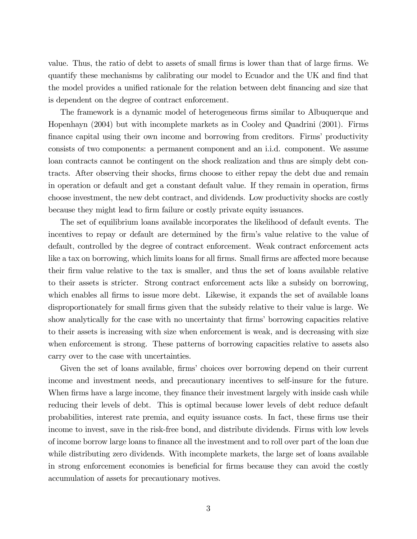value. Thus, the ratio of debt to assets of small firms is lower than that of large firms. We quantify these mechanisms by calibrating our model to Ecuador and the UK and find that the model provides a unified rationale for the relation between debt financing and size that is dependent on the degree of contract enforcement.

The framework is a dynamic model of heterogeneous firms similar to Albuquerque and Hopenhayn (2004) but with incomplete markets as in Cooley and Quadrini (2001). Firms finance capital using their own income and borrowing from creditors. Firms' productivity consists of two components: a permanent component and an i.i.d. component. We assume loan contracts cannot be contingent on the shock realization and thus are simply debt contracts. After observing their shocks, firms choose to either repay the debt due and remain in operation or default and get a constant default value. If they remain in operation, firms choose investment, the new debt contract, and dividends. Low productivity shocks are costly because they might lead to firm failure or costly private equity issuances.

The set of equilibrium loans available incorporates the likelihood of default events. The incentives to repay or default are determined by the firm's value relative to the value of default, controlled by the degree of contract enforcement. Weak contract enforcement acts like a tax on borrowing, which limits loans for all firms. Small firms are affected more because their firm value relative to the tax is smaller, and thus the set of loans available relative to their assets is stricter. Strong contract enforcement acts like a subsidy on borrowing, which enables all firms to issue more debt. Likewise, it expands the set of available loans disproportionately for small firms given that the subsidy relative to their value is large. We show analytically for the case with no uncertainty that firms' borrowing capacities relative to their assets is increasing with size when enforcement is weak, and is decreasing with size when enforcement is strong. These patterns of borrowing capacities relative to assets also carry over to the case with uncertainties.

Given the set of loans available, firms' choices over borrowing depend on their current income and investment needs, and precautionary incentives to self-insure for the future. When firms have a large income, they finance their investment largely with inside cash while reducing their levels of debt. This is optimal because lower levels of debt reduce default probabilities, interest rate premia, and equity issuance costs. In fact, these firms use their income to invest, save in the risk-free bond, and distribute dividends. Firms with low levels of income borrow large loans to finance all the investment and to roll over part of the loan due while distributing zero dividends. With incomplete markets, the large set of loans available in strong enforcement economies is beneficial for firms because they can avoid the costly accumulation of assets for precautionary motives.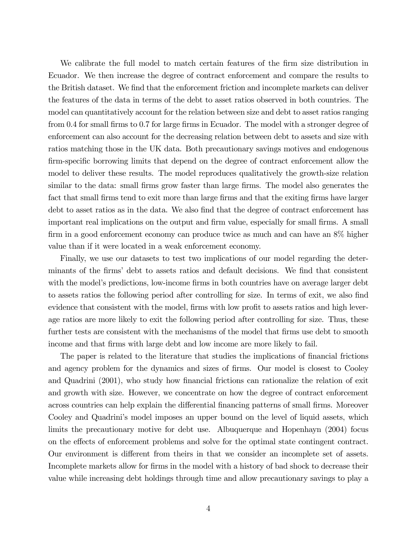We calibrate the full model to match certain features of the firm size distribution in Ecuador. We then increase the degree of contract enforcement and compare the results to the British dataset. We find that the enforcement friction and incomplete markets can deliver the features of the data in terms of the debt to asset ratios observed in both countries. The model can quantitatively account for the relation between size and debt to asset ratios ranging from 0.4 for small firms to 0.7 for large firms in Ecuador. The model with a stronger degree of enforcement can also account for the decreasing relation between debt to assets and size with ratios matching those in the UK data. Both precautionary savings motives and endogenous firm-specific borrowing limits that depend on the degree of contract enforcement allow the model to deliver these results. The model reproduces qualitatively the growth-size relation similar to the data: small firms grow faster than large firms. The model also generates the fact that small firms tend to exit more than large firms and that the exiting firms have larger debt to asset ratios as in the data. We also find that the degree of contract enforcement has important real implications on the output and firm value, especially for small firms. A small firm in a good enforcement economy can produce twice as much and can have an 8% higher value than if it were located in a weak enforcement economy.

Finally, we use our datasets to test two implications of our model regarding the determinants of the firms' debt to assets ratios and default decisions. We find that consistent with the model's predictions, low-income firms in both countries have on average larger debt to assets ratios the following period after controlling for size. In terms of exit, we also find evidence that consistent with the model, firms with low profit to assets ratios and high leverage ratios are more likely to exit the following period after controlling for size. Thus, these further tests are consistent with the mechanisms of the model that firms use debt to smooth income and that firms with large debt and low income are more likely to fail.

The paper is related to the literature that studies the implications of financial frictions and agency problem for the dynamics and sizes of firms. Our model is closest to Cooley and Quadrini (2001), who study how financial frictions can rationalize the relation of exit and growth with size. However, we concentrate on how the degree of contract enforcement across countries can help explain the differential financing patterns of small firms. Moreover Cooley and Quadrini's model imposes an upper bound on the level of liquid assets, which limits the precautionary motive for debt use. Albuquerque and Hopenhayn (2004) focus on the effects of enforcement problems and solve for the optimal state contingent contract. Our environment is different from theirs in that we consider an incomplete set of assets. Incomplete markets allow for firms in the model with a history of bad shock to decrease their value while increasing debt holdings through time and allow precautionary savings to play a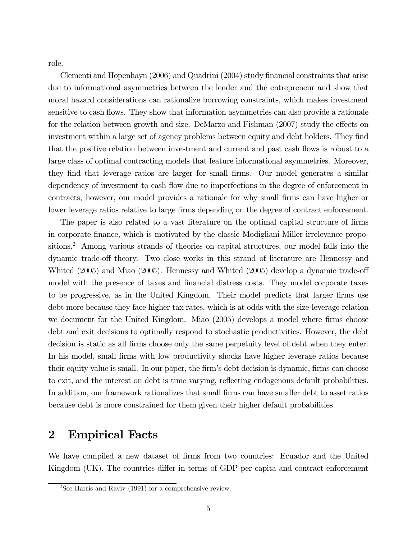role.

Clementi and Hopenhayn (2006) and Quadrini (2004) study financial constraints that arise due to informational asymmetries between the lender and the entrepreneur and show that moral hazard considerations can rationalize borrowing constraints, which makes investment sensitive to cash flows. They show that information asymmetries can also provide a rationale for the relation between growth and size. DeMarzo and Fishman (2007) study the effects on investment within a large set of agency problems between equity and debt holders. They find that the positive relation between investment and current and past cash flows is robust to a large class of optimal contracting models that feature informational asymmetries. Moreover, they find that leverage ratios are larger for small firms. Our model generates a similar dependency of investment to cash flow due to imperfections in the degree of enforcement in contracts; however, our model provides a rationale for why small firms can have higher or lower leverage ratios relative to large firms depending on the degree of contract enforcement.

The paper is also related to a vast literature on the optimal capital structure of firms in corporate finance, which is motivated by the classic Modigliani-Miller irrelevance propositions.<sup>2</sup> Among various strands of theories on capital structures, our model falls into the dynamic trade-off theory. Two close works in this strand of literature are Hennessy and Whited (2005) and Miao (2005). Hennessy and Whited (2005) develop a dynamic trade-off model with the presence of taxes and financial distress costs. They model corporate taxes to be progressive, as in the United Kingdom. Their model predicts that larger firms use debt more because they face higher tax rates, which is at odds with the size-leverage relation we document for the United Kingdom. Miao (2005) develops a model where firms choose debt and exit decisions to optimally respond to stochastic productivities. However, the debt decision is static as all firms choose only the same perpetuity level of debt when they enter. In his model, small firms with low productivity shocks have higher leverage ratios because their equity value is small. In our paper, the firm's debt decision is dynamic, firms can choose to exit, and the interest on debt is time varying, reflecting endogenous default probabilities. In addition, our framework rationalizes that small firms can have smaller debt to asset ratios because debt is more constrained for them given their higher default probabilities.

### 2 Empirical Facts

We have compiled a new dataset of firms from two countries: Ecuador and the United Kingdom (UK). The countries differ in terms of GDP per capita and contract enforcement

<sup>&</sup>lt;sup>2</sup>See Harris and Raviv (1991) for a comprehensive review.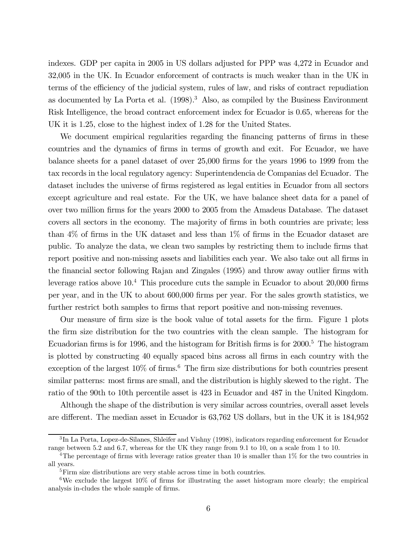indexes. GDP per capita in 2005 in US dollars adjusted for PPP was 4,272 in Ecuador and 32,005 in the UK. In Ecuador enforcement of contracts is much weaker than in the UK in terms of the efficiency of the judicial system, rules of law, and risks of contract repudiation as documented by La Porta et al.  $(1998)^3$  Also, as compiled by the Business Environment Risk Intelligence, the broad contract enforcement index for Ecuador is 0.65, whereas for the UK it is 1.25, close to the highest index of 1.28 for the United States.

We document empirical regularities regarding the financing patterns of firms in these countries and the dynamics of firms in terms of growth and exit. For Ecuador, we have balance sheets for a panel dataset of over 25,000 firms for the years 1996 to 1999 from the tax records in the local regulatory agency: Superintendencia de Companias del Ecuador. The dataset includes the universe of firms registered as legal entities in Ecuador from all sectors except agriculture and real estate. For the UK, we have balance sheet data for a panel of over two million firms for the years 2000 to 2005 from the Amadeus Database. The dataset covers all sectors in the economy. The majority of firms in both countries are private; less than 4% of firms in the UK dataset and less than 1% of firms in the Ecuador dataset are public. To analyze the data, we clean two samples by restricting them to include firms that report positive and non-missing assets and liabilities each year. We also take out all firms in the financial sector following Rajan and Zingales (1995) and throw away outlier firms with leverage ratios above  $10<sup>4</sup>$ . This procedure cuts the sample in Ecuador to about 20,000 firms per year, and in the UK to about 600,000 firms per year. For the sales growth statistics, we further restrict both samples to firms that report positive and non-missing revenues.

Our measure of firm size is the book value of total assets for the firm. Figure 1 plots the firm size distribution for the two countries with the clean sample. The histogram for Ecuadorian firms is for 1996, and the histogram for British firms is for  $2000$ <sup>5</sup>. The histogram is plotted by constructing 40 equally spaced bins across all firms in each country with the exception of the largest  $10\%$  of firms.<sup>6</sup> The firm size distributions for both countries present similar patterns: most firms are small, and the distribution is highly skewed to the right. The ratio of the 90th to 10th percentile asset is 423 in Ecuador and 487 in the United Kingdom.

Although the shape of the distribution is very similar across countries, overall asset levels are different. The median asset in Ecuador is 63,762 US dollars, but in the UK it is 184,952

<sup>3</sup> In La Porta, Lopez-de-Silanes, Shleifer and Vishny (1998), indicators regarding enforcement for Ecuador range between 5.2 and 6.7, whereas for the UK they range from 9.1 to 10, on a scale from 1 to 10.

<sup>&</sup>lt;sup>4</sup>The percentage of firms with leverage ratios greater than 10 is smaller than  $1\%$  for the two countries in all years.

<sup>&</sup>lt;sup>5</sup>Firm size distributions are very stable across time in both countries.

<sup>&</sup>lt;sup>6</sup>We exclude the largest  $10\%$  of firms for illustrating the asset histogram more clearly; the empirical analysis in-cludes the whole sample of firms.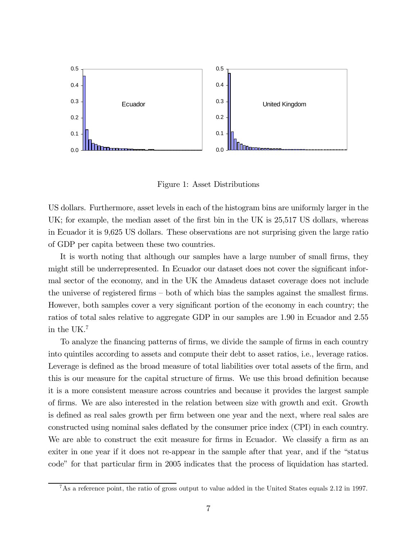

Figure 1: Asset Distributions

US dollars. Furthermore, asset levels in each of the histogram bins are uniformly larger in the UK; for example, the median asset of the first bin in the UK is 25,517 US dollars, whereas in Ecuador it is 9,625 US dollars. These observations are not surprising given the large ratio of GDP per capita between these two countries.

It is worth noting that although our samples have a large number of small firms, they might still be underrepresented. In Ecuador our dataset does not cover the significant informal sector of the economy, and in the UK the Amadeus dataset coverage does not include the universe of registered firms — both of which bias the samples against the smallest firms. However, both samples cover a very significant portion of the economy in each country; the ratios of total sales relative to aggregate GDP in our samples are 1.90 in Ecuador and 2.55 in the UK.7

To analyze the financing patterns of firms, we divide the sample of firms in each country into quintiles according to assets and compute their debt to asset ratios, i.e., leverage ratios. Leverage is defined as the broad measure of total liabilities over total assets of the firm, and this is our measure for the capital structure of firms. We use this broad definition because it is a more consistent measure across countries and because it provides the largest sample of firms. We are also interested in the relation between size with growth and exit. Growth is defined as real sales growth per firm between one year and the next, where real sales are constructed using nominal sales deflated by the consumer price index (CPI) in each country. We are able to construct the exit measure for firms in Ecuador. We classify a firm as an exiter in one year if it does not re-appear in the sample after that year, and if the "status code" for that particular firm in 2005 indicates that the process of liquidation has started.

 $7\,\text{As}$  a reference point, the ratio of gross output to value added in the United States equals 2.12 in 1997.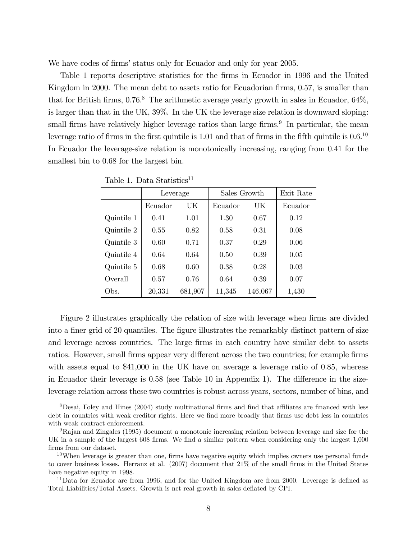We have codes of firms' status only for Ecuador and only for year 2005.

Table 1 reports descriptive statistics for the firms in Ecuador in 1996 and the United Kingdom in 2000. The mean debt to assets ratio for Ecuadorian firms, 0.57, is smaller than that for British firms,  $0.76$ .<sup>8</sup> The arithmetic average yearly growth in sales in Ecuador,  $64\%$ , is larger than that in the UK, 39%. In the UK the leverage size relation is downward sloping: small firms have relatively higher leverage ratios than large firms.<sup>9</sup> In particular, the mean leverage ratio of firms in the first quintile is 1.01 and that of firms in the fifth quintile is 0.6.10 In Ecuador the leverage-size relation is monotonically increasing, ranging from 0.41 for the smallest bin to 0.68 for the largest bin.

|            | Leverage |         | Sales Growth | Exit Rate |         |
|------------|----------|---------|--------------|-----------|---------|
|            | Ecuador  | UK      | Ecuador      | UК        | Ecuador |
| Quintile 1 | 0.41     | 1.01    | 1.30         | 0.67      | 0.12    |
| Quintile 2 | 0.55     | 0.82    | 0.58         | 0.31      | 0.08    |
| Quintile 3 | 0.60     | 0.71    | 0.37         | 0.29      | 0.06    |
| Quintile 4 | 0.64     | 0.64    | 0.50         | 0.39      | 0.05    |
| Quintile 5 | 0.68     | 0.60    | 0.38         | 0.28      | 0.03    |
| Overall    | 0.57     | 0.76    | 0.64         | 0.39      | 0.07    |
| Obs.       | 20,331   | 681,907 | 11,345       | 146,067   | 1,430   |

Table 1. Data Statistics<sup>11</sup>

Figure 2 illustrates graphically the relation of size with leverage when firms are divided into a finer grid of 20 quantiles. The figure illustrates the remarkably distinct pattern of size and leverage across countries. The large firms in each country have similar debt to assets ratios. However, small firms appear very different across the two countries; for example firms with assets equal to \$41,000 in the UK have on average a leverage ratio of 0.85, whereas in Ecuador their leverage is 0.58 (see Table 10 in Appendix 1). The difference in the sizeleverage relation across these two countries is robust across years, sectors, number of bins, and

<sup>8</sup>Desai, Foley and Hines (2004) study multinational firms and find that affiliates are financed with less debt in countries with weak creditor rights. Here we find more broadly that firms use debt less in countries with weak contract enforcement.

<sup>9</sup>Rajan and Zingales (1995) document a monotonic increasing relation between leverage and size for the UK in a sample of the largest 608 firms. We find a similar pattern when considering only the largest 1,000 firms from our dataset.

 $10$ When leverage is greater than one, firms have negative equity which implies owners use personal funds to cover business losses. Herranz et al. (2007) document that 21% of the small firms in the United States have negative equity in 1998.

 $11$ Data for Ecuador are from 1996, and for the United Kingdom are from 2000. Leverage is defined as Total Liabilities/Total Assets. Growth is net real growth in sales deflated by CPI.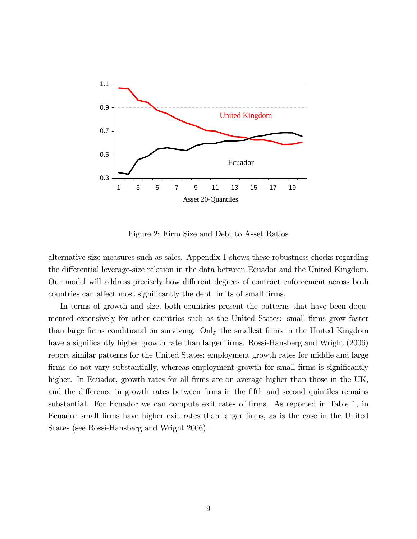

Figure 2: Firm Size and Debt to Asset Ratios

alternative size measures such as sales. Appendix 1 shows these robustness checks regarding the differential leverage-size relation in the data between Ecuador and the United Kingdom. Our model will address precisely how different degrees of contract enforcement across both countries can affect most significantly the debt limits of small firms.

In terms of growth and size, both countries present the patterns that have been documented extensively for other countries such as the United States: small firms grow faster than large firms conditional on surviving. Only the smallest firms in the United Kingdom have a significantly higher growth rate than larger firms. Rossi-Hansberg and Wright (2006) report similar patterns for the United States; employment growth rates for middle and large firms do not vary substantially, whereas employment growth for small firms is significantly higher. In Ecuador, growth rates for all firms are on average higher than those in the UK, and the difference in growth rates between firms in the fifth and second quintiles remains substantial. For Ecuador we can compute exit rates of firms. As reported in Table 1, in Ecuador small firms have higher exit rates than larger firms, as is the case in the United States (see Rossi-Hansberg and Wright 2006).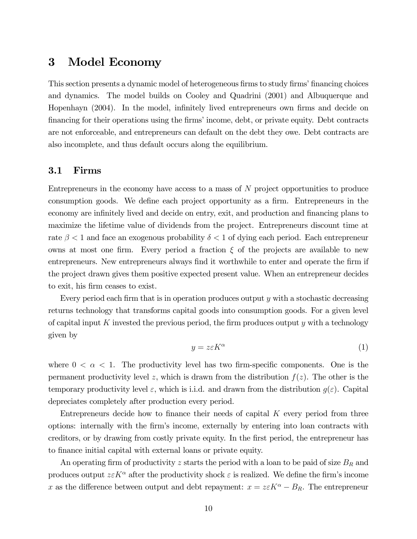### 3 Model Economy

This section presents a dynamic model of heterogeneous firms to study firms' financing choices and dynamics. The model builds on Cooley and Quadrini (2001) and Albuquerque and Hopenhayn (2004). In the model, infinitely lived entrepreneurs own firms and decide on financing for their operations using the firms' income, debt, or private equity. Debt contracts are not enforceable, and entrepreneurs can default on the debt they owe. Debt contracts are also incomplete, and thus default occurs along the equilibrium.

#### 3.1 Firms

Entrepreneurs in the economy have access to a mass of N project opportunities to produce consumption goods. We define each project opportunity as a firm. Entrepreneurs in the economy are infinitely lived and decide on entry, exit, and production and financing plans to maximize the lifetime value of dividends from the project. Entrepreneurs discount time at rate  $\beta < 1$  and face an exogenous probability  $\delta < 1$  of dying each period. Each entrepreneur owns at most one firm. Every period a fraction  $\xi$  of the projects are available to new entrepreneurs. New entrepreneurs always find it worthwhile to enter and operate the firm if the project drawn gives them positive expected present value. When an entrepreneur decides to exit, his firm ceases to exist.

Every period each firm that is in operation produces output  $y$  with a stochastic decreasing returns technology that transforms capital goods into consumption goods. For a given level of capital input K invested the previous period, the firm produces output  $y$  with a technology given by

$$
y = z \varepsilon K^{\alpha} \tag{1}
$$

where  $0 < \alpha < 1$ . The productivity level has two firm-specific components. One is the permanent productivity level z, which is drawn from the distribution  $f(z)$ . The other is the temporary productivity level  $\varepsilon$ , which is i.i.d. and drawn from the distribution  $g(\varepsilon)$ . Capital depreciates completely after production every period.

Entrepreneurs decide how to finance their needs of capital  $K$  every period from three options: internally with the firm's income, externally by entering into loan contracts with creditors, or by drawing from costly private equity. In the first period, the entrepreneur has to finance initial capital with external loans or private equity.

An operating firm of productivity z starts the period with a loan to be paid of size  $B_R$  and produces output  $z \in K^{\alpha}$  after the productivity shock  $\varepsilon$  is realized. We define the firm's income x as the difference between output and debt repayment:  $x = z \varepsilon K^{\alpha} - B_{R}$ . The entrepreneur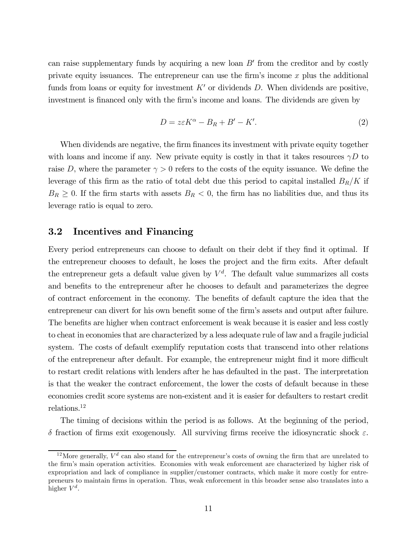can raise supplementary funds by acquiring a new loan  $B'$  from the creditor and by costly private equity issuances. The entrepreneur can use the firm's income  $x$  plus the additional funds from loans or equity for investment  $K'$  or dividends D. When dividends are positive, investment is financed only with the firm's income and loans. The dividends are given by

$$
D = z\varepsilon K^{\alpha} - B_R + B' - K'. \tag{2}
$$

When dividends are negative, the firm finances its investment with private equity together with loans and income if any. New private equity is costly in that it takes resources  $\gamma D$  to raise D, where the parameter  $\gamma > 0$  refers to the costs of the equity issuance. We define the leverage of this firm as the ratio of total debt due this period to capital installed  $B_R/K$  if  $B_R \geq 0$ . If the firm starts with assets  $B_R < 0$ , the firm has no liabilities due, and thus its leverage ratio is equal to zero.

#### 3.2 Incentives and Financing

Every period entrepreneurs can choose to default on their debt if they find it optimal. If the entrepreneur chooses to default, he loses the project and the firm exits. After default the entrepreneur gets a default value given by  $V<sup>d</sup>$ . The default value summarizes all costs and benefits to the entrepreneur after he chooses to default and parameterizes the degree of contract enforcement in the economy. The benefits of default capture the idea that the entrepreneur can divert for his own benefit some of the firm's assets and output after failure. The benefits are higher when contract enforcement is weak because it is easier and less costly to cheat in economies that are characterized by a less adequate rule of law and a fragile judicial system. The costs of default exemplify reputation costs that transcend into other relations of the entrepreneur after default. For example, the entrepreneur might find it more difficult to restart credit relations with lenders after he has defaulted in the past. The interpretation is that the weaker the contract enforcement, the lower the costs of default because in these economies credit score systems are non-existent and it is easier for defaulters to restart credit relations.12

The timing of decisions within the period is as follows. At the beginning of the period, δ fraction of firms exit exogenously. All surviving firms receive the idiosyncratic shock ε.

<sup>&</sup>lt;sup>12</sup>More generally,  $V^d$  can also stand for the entrepreneur's costs of owning the firm that are unrelated to the firm's main operation activities. Economies with weak enforcement are characterized by higher risk of expropriation and lack of compliance in supplier/customer contracts, which make it more costly for entrepreneurs to maintain firms in operation. Thus, weak enforcement in this broader sense also translates into a higher  $V^d$ .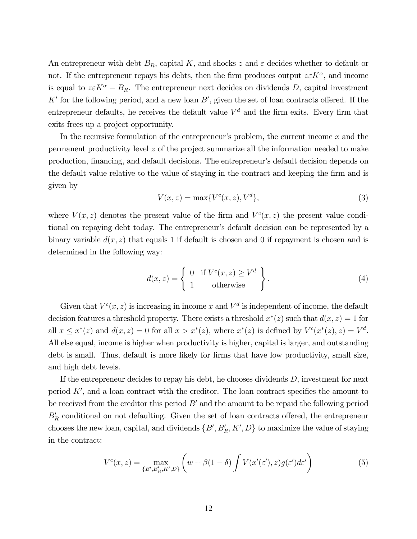An entrepreneur with debt  $B_R$ , capital K, and shocks z and  $\varepsilon$  decides whether to default or not. If the entrepreneur repays his debts, then the firm produces output  $z \in K^{\alpha}$ , and income is equal to  $z \in K^{\alpha} - B_R$ . The entrepreneur next decides on dividends D, capital investment  $K'$  for the following period, and a new loan  $B'$ , given the set of loan contracts offered. If the entrepreneur defaults, he receives the default value  $V<sup>d</sup>$  and the firm exits. Every firm that exits frees up a project opportunity.

In the recursive formulation of the entrepreneur's problem, the current income  $x$  and the permanent productivity level z of the project summarize all the information needed to make production, financing, and default decisions. The entrepreneur's default decision depends on the default value relative to the value of staying in the contract and keeping the firm and is given by

$$
V(x, z) = \max\{V^c(x, z), V^d\},\tag{3}
$$

where  $V(x, z)$  denotes the present value of the firm and  $V<sup>c</sup>(x, z)$  the present value conditional on repaying debt today. The entrepreneur's default decision can be represented by a binary variable  $d(x, z)$  that equals 1 if default is chosen and 0 if repayment is chosen and is determined in the following way:

$$
d(x, z) = \begin{cases} 0 & \text{if } V^c(x, z) \ge V^d \\ 1 & \text{otherwise} \end{cases}.
$$
 (4)

Given that  $V^c(x, z)$  is increasing in income x and  $V^d$  is independent of income, the default decision features a threshold property. There exists a threshold  $x^*(z)$  such that  $d(x, z)=1$  for all  $x \leq x^*(z)$  and  $d(x, z) = 0$  for all  $x > x^*(z)$ , where  $x^*(z)$  is defined by  $V^c(x^*(z), z) = V^d$ . All else equal, income is higher when productivity is higher, capital is larger, and outstanding debt is small. Thus, default is more likely for firms that have low productivity, small size, and high debt levels.

If the entrepreneur decides to repay his debt, he chooses dividends  $D$ , investment for next period  $K'$ , and a loan contract with the creditor. The loan contract specifies the amount to be received from the creditor this period  $B'$  and the amount to be repaid the following period  $B'_R$  conditional on not defaulting. Given the set of loan contracts offered, the entrepreneur chooses the new loan, capital, and dividends  $\{B', B_R', K', D\}$  to maximize the value of staying in the contract:

$$
V^{c}(x,z) = \max_{\{B',B_R',K',D\}} \left(w + \beta(1-\delta) \int V(x'(\varepsilon'),z)g(\varepsilon')d\varepsilon'\right)
$$
(5)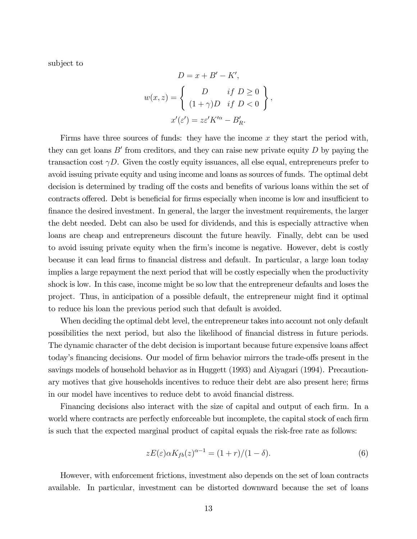subject to

$$
D = x + B' - K',
$$
  

$$
w(x, z) = \begin{cases} D & \text{if } D \ge 0 \\ (1 + \gamma)D & \text{if } D < 0 \end{cases},
$$
  

$$
x'(\varepsilon') = z\varepsilon' K'^{\alpha} - B'_R.
$$

Firms have three sources of funds: they have the income x they start the period with, they can get loans  $B'$  from creditors, and they can raise new private equity  $D$  by paying the transaction cost  $\gamma D$ . Given the costly equity issuances, all else equal, entrepreneurs prefer to avoid issuing private equity and using income and loans as sources of funds. The optimal debt decision is determined by trading off the costs and benefits of various loans within the set of contracts offered. Debt is beneficial for firms especially when income is low and insufficient to finance the desired investment. In general, the larger the investment requirements, the larger the debt needed. Debt can also be used for dividends, and this is especially attractive when loans are cheap and entrepreneurs discount the future heavily. Finally, debt can be used to avoid issuing private equity when the firm's income is negative. However, debt is costly because it can lead firms to financial distress and default. In particular, a large loan today implies a large repayment the next period that will be costly especially when the productivity shock is low. In this case, income might be so low that the entrepreneur defaults and loses the project. Thus, in anticipation of a possible default, the entrepreneur might find it optimal to reduce his loan the previous period such that default is avoided.

When deciding the optimal debt level, the entrepreneur takes into account not only default possibilities the next period, but also the likelihood of financial distress in future periods. The dynamic character of the debt decision is important because future expensive loans affect today's financing decisions. Our model of firm behavior mirrors the trade-offs present in the savings models of household behavior as in Huggett (1993) and Aiyagari (1994). Precautionary motives that give households incentives to reduce their debt are also present here; firms in our model have incentives to reduce debt to avoid financial distress.

Financing decisions also interact with the size of capital and output of each firm. In a world where contracts are perfectly enforceable but incomplete, the capital stock of each firm is such that the expected marginal product of capital equals the risk-free rate as follows:

$$
zE(\varepsilon)\alpha K_{fb}(z)^{\alpha-1} = (1+r)/(1-\delta). \tag{6}
$$

However, with enforcement frictions, investment also depends on the set of loan contracts available. In particular, investment can be distorted downward because the set of loans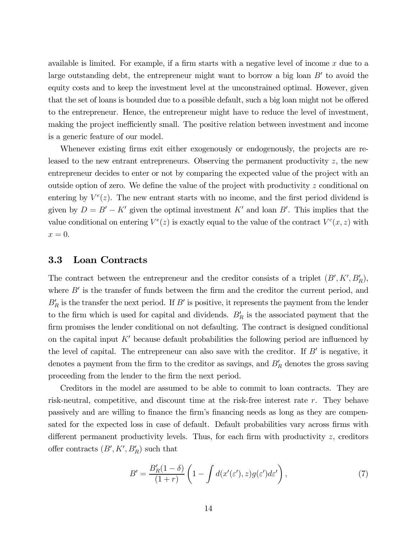available is limited. For example, if a firm starts with a negative level of income  $x$  due to a large outstanding debt, the entrepreneur might want to borrow a big loan  $B'$  to avoid the equity costs and to keep the investment level at the unconstrained optimal. However, given that the set of loans is bounded due to a possible default, such a big loan might not be offered to the entrepreneur. Hence, the entrepreneur might have to reduce the level of investment, making the project inefficiently small. The positive relation between investment and income is a generic feature of our model.

Whenever existing firms exit either exogenously or endogenously, the projects are released to the new entrant entrepreneurs. Observing the permanent productivity  $z$ , the new entrepreneur decides to enter or not by comparing the expected value of the project with an outside option of zero. We define the value of the project with productivity  $z$  conditional on entering by  $V^e(z)$ . The new entrant starts with no income, and the first period dividend is given by  $D = B' - K'$  given the optimal investment K' and loan B'. This implies that the value conditional on entering  $V^e(z)$  is exactly equal to the value of the contract  $V^e(x, z)$  with  $x=0.$ 

#### 3.3 Loan Contracts

The contract between the entrepreneur and the creditor consists of a triplet  $(B', K', B'_R)$ , where  $B'$  is the transfer of funds between the firm and the creditor the current period, and  $B'_R$  is the transfer the next period. If  $B'$  is positive, it represents the payment from the lender to the firm which is used for capital and dividends.  $B'_R$  is the associated payment that the firm promises the lender conditional on not defaulting. The contract is designed conditional on the capital input  $K'$  because default probabilities the following period are influenced by the level of capital. The entrepreneur can also save with the creditor. If  $B'$  is negative, it denotes a payment from the firm to the creditor as savings, and  $B'_R$  denotes the gross saving proceeding from the lender to the firm the next period.

Creditors in the model are assumed to be able to commit to loan contracts. They are risk-neutral, competitive, and discount time at the risk-free interest rate r. They behave passively and are willing to finance the firm's financing needs as long as they are compensated for the expected loss in case of default. Default probabilities vary across firms with different permanent productivity levels. Thus, for each firm with productivity z, creditors offer contracts  $(B', K', B'_R)$  such that

$$
B' = \frac{B_R'(1-\delta)}{(1+r)} \left(1 - \int d(x'(\varepsilon'), z) g(\varepsilon') d\varepsilon'\right),\tag{7}
$$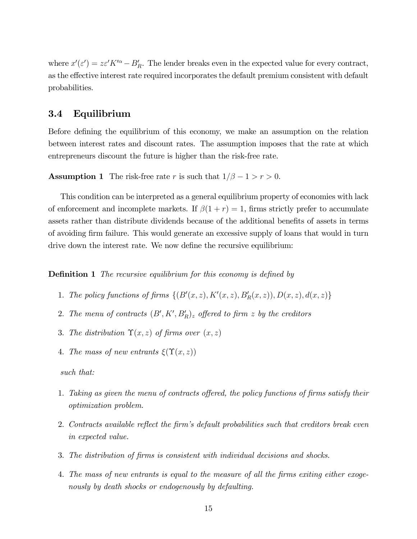where  $x'(\varepsilon') = z\varepsilon' K'^{\alpha} - B'_R$ . The lender breaks even in the expected value for every contract, as the effective interest rate required incorporates the default premium consistent with default probabilities.

#### 3.4 Equilibrium

Before defining the equilibrium of this economy, we make an assumption on the relation between interest rates and discount rates. The assumption imposes that the rate at which entrepreneurs discount the future is higher than the risk-free rate.

**Assumption 1** The risk-free rate r is such that  $1/\beta - 1 > r > 0$ .

This condition can be interpreted as a general equilibrium property of economies with lack of enforcement and incomplete markets. If  $\beta(1+r)=1$ , firms strictly prefer to accumulate assets rather than distribute dividends because of the additional benefits of assets in terms of avoiding firm failure. This would generate an excessive supply of loans that would in turn drive down the interest rate. We now define the recursive equilibrium:

**Definition 1** The recursive equilibrium for this economy is defined by

- 1. The policy functions of firms  $\{(B'(x,z), K'(x,z), B'_R(x,z)), D(x,z), d(x,z)\}\$
- 2. The menu of contracts  $(B', K', B'_R)_z$  offered to firm z by the creditors
- 3. The distribution  $\Upsilon(x, z)$  of firms over  $(x, z)$
- 4. The mass of new entrants  $\xi(\Upsilon(x,z))$

#### such that:

- 1. Taking as given the menu of contracts offered, the policy functions of firms satisfy their optimization problem.
- 2. Contracts available reflect the firm's default probabilities such that creditors break even in expected value.
- 3. The distribution of firms is consistent with individual decisions and shocks.
- 4. The mass of new entrants is equal to the measure of all the firms exiting either exogenously by death shocks or endogenously by defaulting.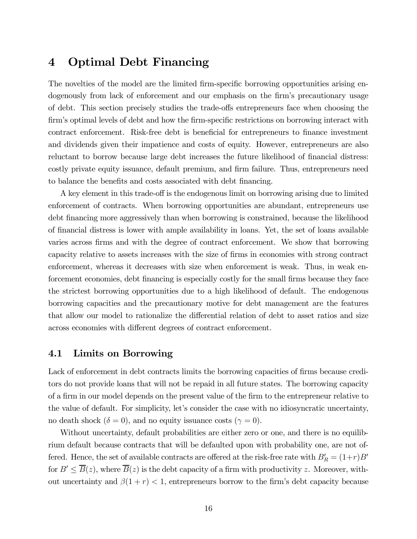### 4 Optimal Debt Financing

The novelties of the model are the limited firm-specific borrowing opportunities arising endogenously from lack of enforcement and our emphasis on the firm's precautionary usage of debt. This section precisely studies the trade-offs entrepreneurs face when choosing the firm's optimal levels of debt and how the firm-specific restrictions on borrowing interact with contract enforcement. Risk-free debt is beneficial for entrepreneurs to finance investment and dividends given their impatience and costs of equity. However, entrepreneurs are also reluctant to borrow because large debt increases the future likelihood of financial distress: costly private equity issuance, default premium, and firm failure. Thus, entrepreneurs need to balance the benefits and costs associated with debt financing.

A key element in this trade-off is the endogenous limit on borrowing arising due to limited enforcement of contracts. When borrowing opportunities are abundant, entrepreneurs use debt financing more aggressively than when borrowing is constrained, because the likelihood of financial distress is lower with ample availability in loans. Yet, the set of loans available varies across firms and with the degree of contract enforcement. We show that borrowing capacity relative to assets increases with the size of firms in economies with strong contract enforcement, whereas it decreases with size when enforcement is weak. Thus, in weak enforcement economies, debt financing is especially costly for the small firms because they face the strictest borrowing opportunities due to a high likelihood of default. The endogenous borrowing capacities and the precautionary motive for debt management are the features that allow our model to rationalize the differential relation of debt to asset ratios and size across economies with different degrees of contract enforcement.

#### 4.1 Limits on Borrowing

Lack of enforcement in debt contracts limits the borrowing capacities of firms because creditors do not provide loans that will not be repaid in all future states. The borrowing capacity of a firm in our model depends on the present value of the firm to the entrepreneur relative to the value of default. For simplicity, let's consider the case with no idiosyncratic uncertainty, no death shock ( $\delta = 0$ ), and no equity issuance costs ( $\gamma = 0$ ).

Without uncertainty, default probabilities are either zero or one, and there is no equilibrium default because contracts that will be defaulted upon with probability one, are not offered. Hence, the set of available contracts are offered at the risk-free rate with  $B'_R = (1+r)B'$ for  $B' \leq \overline{B}(z)$ , where  $\overline{B}(z)$  is the debt capacity of a firm with productivity z. Moreover, without uncertainty and  $\beta(1+r) < 1$ , entrepreneurs borrow to the firm's debt capacity because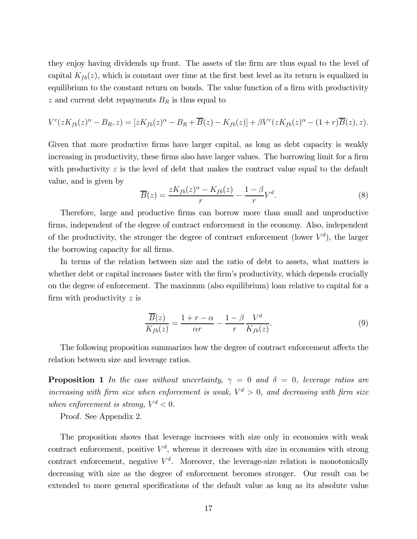they enjoy having dividends up front. The assets of the firm are thus equal to the level of capital  $K_{fb}(z)$ , which is constant over time at the first best level as its return is equalized in equilibrium to the constant return on bonds. The value function of a firm with productivity z and current debt repayments  $B_R$  is thus equal to

$$
V^{c}(zK_{fb}(z)^{\alpha}-B_{R},z)=[zK_{fb}(z)^{\alpha}-B_{R}+\overline{B}(z)-K_{fb}(z)]+\beta V^{c}(zK_{fb}(z)^{\alpha}-(1+r)\overline{B}(z),z).
$$

Given that more productive firms have larger capital, as long as debt capacity is weakly increasing in productivity, these firms also have larger values. The borrowing limit for a firm with productivity  $z$  is the level of debt that makes the contract value equal to the default value, and is given by

$$
\overline{B}(z) = \frac{zK_{fb}(z)^{\alpha} - K_{fb}(z)}{r} - \frac{1 - \beta}{r}V^{d}.
$$
\n(8)

Therefore, large and productive firms can borrow more than small and unproductive firms, independent of the degree of contract enforcement in the economy. Also, independent of the productivity, the stronger the degree of contract enforcement (lower  $V^d$ ), the larger the borrowing capacity for all firms.

In terms of the relation between size and the ratio of debt to assets, what matters is whether debt or capital increases faster with the firm's productivity, which depends crucially on the degree of enforcement. The maximum (also equilibrium) loan relative to capital for a firm with productivity z is

$$
\frac{\overline{B}(z)}{K_{fb}(z)} = \frac{1+r-\alpha}{\alpha r} - \frac{1-\beta}{r} \frac{V^d}{K_{fb}(z)}.
$$
\n(9)

The following proposition summarizes how the degree of contract enforcement affects the relation between size and leverage ratios.

**Proposition 1** In the case without uncertainty,  $\gamma = 0$  and  $\delta = 0$ , leverage ratios are increasing with firm size when enforcement is weak,  $V^d > 0$ , and decreasing with firm size when enforcement is strong,  $V^d < 0$ .

Proof. See Appendix 2.

The proposition shows that leverage increases with size only in economies with weak contract enforcement, positive  $V^d$ , whereas it decreases with size in economies with strong contract enforcement, negative  $V^d$ . Moreover, the leverage-size relation is monotonically decreasing with size as the degree of enforcement becomes stronger. Our result can be extended to more general specifications of the default value as long as its absolute value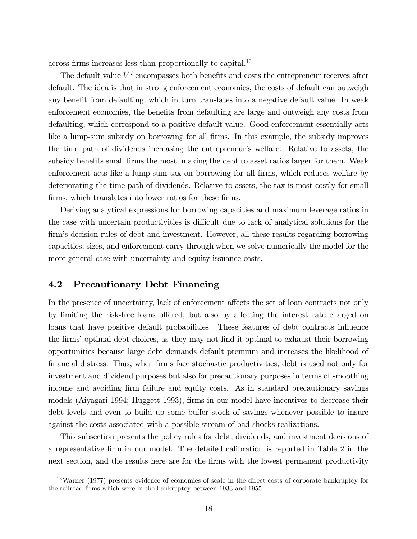across firms increases less than proportionally to capital.<sup>13</sup>

The default value  $V<sup>d</sup>$  encompasses both benefits and costs the entrepreneur receives after default. The idea is that in strong enforcement economies, the costs of default can outweigh any benefit from defaulting, which in turn translates into a negative default value. In weak enforcement economies, the benefits from defaulting are large and outweigh any costs from defaulting, which correspond to a positive default value. Good enforcement essentially acts like a lump-sum subsidy on borrowing for all firms. In this example, the subsidy improves the time path of dividends increasing the entrepreneur's welfare. Relative to assets, the subsidy benefits small firms the most, making the debt to asset ratios larger for them. Weak enforcement acts like a lump-sum tax on borrowing for all firms, which reduces welfare by deteriorating the time path of dividends. Relative to assets, the tax is most costly for small firms, which translates into lower ratios for these firms.

Deriving analytical expressions for borrowing capacities and maximum leverage ratios in the case with uncertain productivities is difficult due to lack of analytical solutions for the firm's decision rules of debt and investment. However, all these results regarding borrowing capacities, sizes, and enforcement carry through when we solve numerically the model for the more general case with uncertainty and equity issuance costs.

### 4.2 Precautionary Debt Financing

In the presence of uncertainty, lack of enforcement affects the set of loan contracts not only by limiting the risk-free loans offered, but also by affecting the interest rate charged on loans that have positive default probabilities. These features of debt contracts influence the firms' optimal debt choices, as they may not find it optimal to exhaust their borrowing opportunities because large debt demands default premium and increases the likelihood of financial distress. Thus, when firms face stochastic productivities, debt is used not only for investment and dividend purposes but also for precautionary purposes in terms of smoothing income and avoiding firm failure and equity costs. As in standard precautionary savings models (Aiyagari 1994; Huggett 1993), firms in our model have incentives to decrease their debt levels and even to build up some buffer stock of savings whenever possible to insure against the costs associated with a possible stream of bad shocks realizations.

This subsection presents the policy rules for debt, dividends, and investment decisions of a representative firm in our model. The detailed calibration is reported in Table 2 in the next section, and the results here are for the firms with the lowest permanent productivity

<sup>&</sup>lt;sup>13</sup>Warner (1977) presents evidence of economies of scale in the direct costs of corporate bankruptcy for the railroad firms which were in the bankruptcy between 1933 and 1955.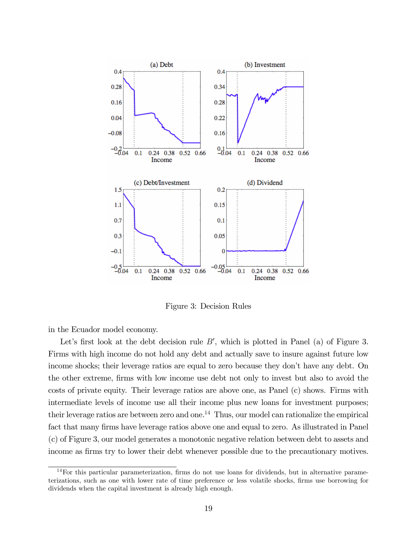

Figure 3: Decision Rules

in the Ecuador model economy.

Let's first look at the debt decision rule  $B'$ , which is plotted in Panel (a) of Figure 3. Firms with high income do not hold any debt and actually save to insure against future low income shocks; their leverage ratios are equal to zero because they don't have any debt. On the other extreme, firms with low income use debt not only to invest but also to avoid the costs of private equity. Their leverage ratios are above one, as Panel (c) shows. Firms with intermediate levels of income use all their income plus new loans for investment purposes; their leverage ratios are between zero and one.<sup>14</sup> Thus, our model can rationalize the empirical fact that many firms have leverage ratios above one and equal to zero. As illustrated in Panel (c) of Figure 3, our model generates a monotonic negative relation between debt to assets and income as firms try to lower their debt whenever possible due to the precautionary motives.

<sup>14</sup>For this particular parameterization, firms do not use loans for dividends, but in alternative parameterizations, such as one with lower rate of time preference or less volatile shocks, firms use borrowing for dividends when the capital investment is already high enough.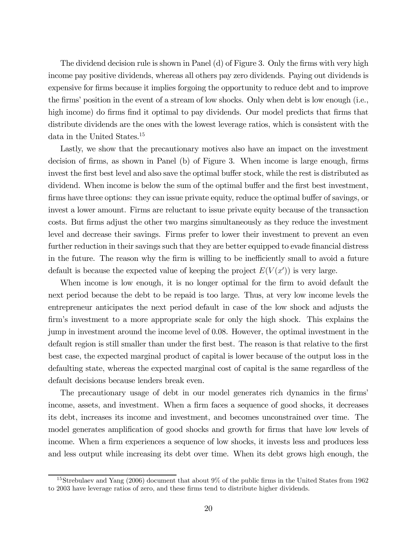The dividend decision rule is shown in Panel (d) of Figure 3. Only the firms with very high income pay positive dividends, whereas all others pay zero dividends. Paying out dividends is expensive for firms because it implies forgoing the opportunity to reduce debt and to improve the firms' position in the event of a stream of low shocks. Only when debt is low enough (i.e., high income) do firms find it optimal to pay dividends. Our model predicts that firms that distribute dividends are the ones with the lowest leverage ratios, which is consistent with the data in the United States.<sup>15</sup>

Lastly, we show that the precautionary motives also have an impact on the investment decision of firms, as shown in Panel (b) of Figure 3. When income is large enough, firms invest the first best level and also save the optimal buffer stock, while the rest is distributed as dividend. When income is below the sum of the optimal buffer and the first best investment, firms have three options: they can issue private equity, reduce the optimal buffer of savings, or invest a lower amount. Firms are reluctant to issue private equity because of the transaction costs. But firms adjust the other two margins simultaneously as they reduce the investment level and decrease their savings. Firms prefer to lower their investment to prevent an even further reduction in their savings such that they are better equipped to evade financial distress in the future. The reason why the firm is willing to be inefficiently small to avoid a future default is because the expected value of keeping the project  $E(V(x'))$  is very large.

When income is low enough, it is no longer optimal for the firm to avoid default the next period because the debt to be repaid is too large. Thus, at very low income levels the entrepreneur anticipates the next period default in case of the low shock and adjusts the firm's investment to a more appropriate scale for only the high shock. This explains the jump in investment around the income level of 0.08. However, the optimal investment in the default region is still smaller than under the first best. The reason is that relative to the first best case, the expected marginal product of capital is lower because of the output loss in the defaulting state, whereas the expected marginal cost of capital is the same regardless of the default decisions because lenders break even.

The precautionary usage of debt in our model generates rich dynamics in the firms' income, assets, and investment. When a firm faces a sequence of good shocks, it decreases its debt, increases its income and investment, and becomes unconstrained over time. The model generates amplification of good shocks and growth for firms that have low levels of income. When a firm experiences a sequence of low shocks, it invests less and produces less and less output while increasing its debt over time. When its debt grows high enough, the

<sup>&</sup>lt;sup>15</sup>Strebulaev and Yang (2006) document that about 9% of the public firms in the United States from 1962 to 2003 have leverage ratios of zero, and these firms tend to distribute higher dividends.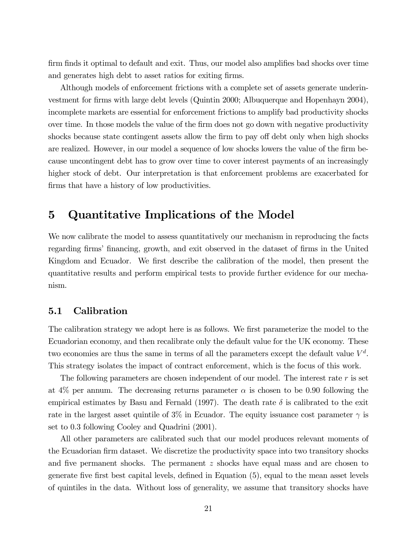firm finds it optimal to default and exit. Thus, our model also amplifies bad shocks over time and generates high debt to asset ratios for exiting firms.

Although models of enforcement frictions with a complete set of assets generate underinvestment for firms with large debt levels (Quintin 2000; Albuquerque and Hopenhayn 2004), incomplete markets are essential for enforcement frictions to amplify bad productivity shocks over time. In those models the value of the firm does not go down with negative productivity shocks because state contingent assets allow the firm to pay off debt only when high shocks are realized. However, in our model a sequence of low shocks lowers the value of the firm because uncontingent debt has to grow over time to cover interest payments of an increasingly higher stock of debt. Our interpretation is that enforcement problems are exacerbated for firms that have a history of low productivities.

### 5 Quantitative Implications of the Model

We now calibrate the model to assess quantitatively our mechanism in reproducing the facts regarding firms' financing, growth, and exit observed in the dataset of firms in the United Kingdom and Ecuador. We first describe the calibration of the model, then present the quantitative results and perform empirical tests to provide further evidence for our mechanism.

#### 5.1 Calibration

The calibration strategy we adopt here is as follows. We first parameterize the model to the Ecuadorian economy, and then recalibrate only the default value for the UK economy. These two economies are thus the same in terms of all the parameters except the default value  $V^d$ . This strategy isolates the impact of contract enforcement, which is the focus of this work.

The following parameters are chosen independent of our model. The interest rate  $r$  is set at 4% per annum. The decreasing returns parameter  $\alpha$  is chosen to be 0.90 following the empirical estimates by Basu and Fernald (1997). The death rate  $\delta$  is calibrated to the exit rate in the largest asset quintile of 3% in Ecuador. The equity issuance cost parameter  $\gamma$  is set to 0.3 following Cooley and Quadrini (2001).

All other parameters are calibrated such that our model produces relevant moments of the Ecuadorian firm dataset. We discretize the productivity space into two transitory shocks and five permanent shocks. The permanent  $z$  shocks have equal mass and are chosen to generate five first best capital levels, defined in Equation (5), equal to the mean asset levels of quintiles in the data. Without loss of generality, we assume that transitory shocks have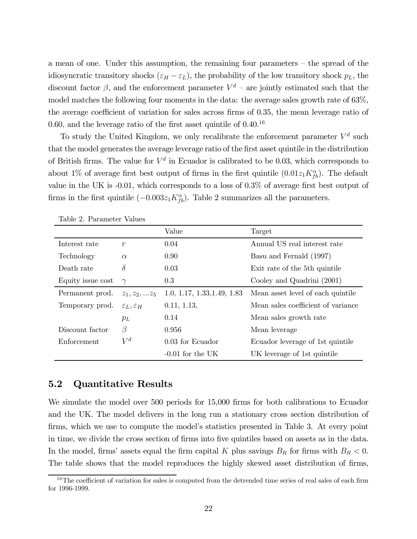a mean of one. Under this assumption, the remaining four parameters — the spread of the idiosyncratic transitory shocks ( $\varepsilon_H - \varepsilon_L$ ), the probability of the low transitory shock  $p_L$ , the discount factor  $\beta$ , and the enforcement parameter  $V^d$  – are jointly estimated such that the model matches the following four moments in the data: the average sales growth rate of 63%, the average coefficient of variation for sales across firms of 0.35, the mean leverage ratio of 0.60, and the leverage ratio of the first asset quintile of  $0.40^{16}$ 

To study the United Kingdom, we only recalibrate the enforcement parameter  $V^d$  such that the model generates the average leverage ratio of the first asset quintile in the distribution of British firms. The value for  $V^d$  in Ecuador is calibrated to be 0.03, which corresponds to about 1% of average first best output of firms in the first quintile  $(0.01z_1K_{fb}^{\alpha})$ . The default value in the UK is -0.01, which corresponds to a loss of 0.3% of average first best output of firms in the first quintile  $(-0.003z_1K_{fb}^{\alpha})$ . Table 2 summarizes all the parameters.

|                   |                                | Value                       | Target                             |
|-------------------|--------------------------------|-----------------------------|------------------------------------|
| Interest rate     | $\mathcal{r}$                  | 0.04                        | Annual US real interest rate       |
| Technology        | $\alpha$                       | 0.90                        | Basu and Fernald (1997)            |
| Death rate        | $\delta$                       | 0.03                        | Exit rate of the 5th quintile      |
| Equity issue cost | $\gamma$                       | 0.3                         | Cooley and Quadrini (2001)         |
| Permanent prod.   | $z_1, z_2,  z_5$               | 1.0, 1.17, 1.33, 1.49, 1.83 | Mean asset level of each quintile  |
| Temporary prod.   | $\varepsilon_L, \varepsilon_H$ | 0.11, 1.13,                 | Mean sales coefficient of variance |
|                   | $p_L$                          | 0.14                        | Mean sales growth rate             |
| Discount factor   | β                              | 0.956                       | Mean leverage                      |
| Enforcement       | $V^d$                          | 0.03 for Ecuador            | Ecuador leverage of 1st quintile   |
|                   |                                | $-0.01$ for the UK          | UK leverage of 1st quintile        |

Table 2. Parameter Values

#### 5.2 Quantitative Results

We simulate the model over 500 periods for 15,000 firms for both calibrations to Ecuador and the UK. The model delivers in the long run a stationary cross section distribution of firms, which we use to compute the model's statistics presented in Table 3. At every point in time, we divide the cross section of firms into five quintiles based on assets as in the data. In the model, firms' assets equal the firm capital K plus savings  $B_R$  for firms with  $B_R < 0$ . The table shows that the model reproduces the highly skewed asset distribution of firms,

 $16$ The coefficient of variation for sales is computed from the detrended time series of real sales of each firm for 1996-1999.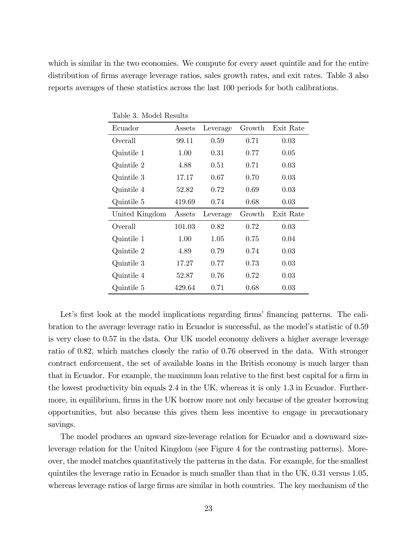which is similar in the two economies. We compute for every asset quintile and for the entire distribution of firms average leverage ratios, sales growth rates, and exit rates. Table 3 also reports averages of these statistics across the last 100 periods for both calibrations.

| Ecuador        | Assets | Leverage | Growth | Exit Rate |
|----------------|--------|----------|--------|-----------|
| Overall        | 99.11  | 0.59     | 0.71   | 0.03      |
| Quintile 1     | 1.00   | $0.31\,$ | 0.77   | 0.05      |
| Quintile 2     | 4.88   | 0.51     | 0.71   | 0.03      |
| Quintile 3     | 17.17  | 0.67     | 0.70   | 0.03      |
|                |        |          |        |           |
| Quintile 4     | 52.82  | 0.72     | 0.69   | 0.03      |
| Quintile 5     | 419.69 | 0.74     | 0.68   | 0.03      |
| United Kingdom | Assets | Leverage | Growth | Exit Rate |
| Overall        | 101.03 | 0.82     | 0.72   | 0.03      |
| Quintile 1     | 1.00   | 1.05     | 0.75   | 0.04      |
| Quintile 2     | 4.89   | 0.79     | 0.74   | 0.03      |
| Quintile 3     | 17.27  | 0.77     | 0.73   | 0.03      |
|                |        |          |        |           |
| Quintile 4     | 52.87  | 0.76     | 0.72   | 0.03      |

Table 3. Model Results

Let's first look at the model implications regarding firms' financing patterns. The calibration to the average leverage ratio in Ecuador is successful, as the model's statistic of 0.59 is very close to 0.57 in the data. Our UK model economy delivers a higher average leverage ratio of 0.82, which matches closely the ratio of 0.76 observed in the data. With stronger contract enforcement, the set of available loans in the British economy is much larger than that in Ecuador. For example, the maximum loan relative to the first best capital for a firm in the lowest productivity bin equals 2.4 in the UK, whereas it is only 1.3 in Ecuador. Furthermore, in equilibrium, firms in the UK borrow more not only because of the greater borrowing opportunities, but also because this gives them less incentive to engage in precautionary savings.

The model produces an upward size-leverage relation for Ecuador and a downward sizeleverage relation for the United Kingdom (see Figure 4 for the contrasting patterns). Moreover, the model matches quantitatively the patterns in the data. For example, for the smallest quintiles the leverage ratio in Ecuador is much smaller than that in the UK, 0.31 versus 1.05, whereas leverage ratios of large firms are similar in both countries. The key mechanism of the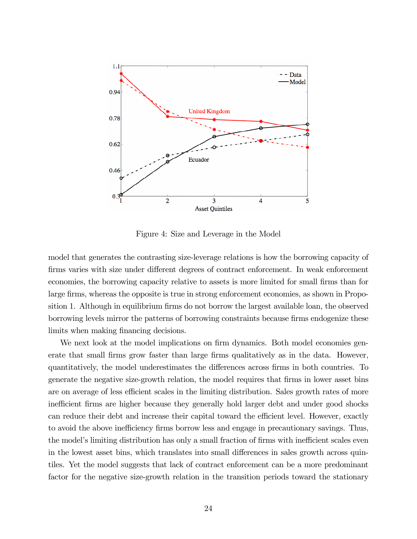

Figure 4: Size and Leverage in the Model

model that generates the contrasting size-leverage relations is how the borrowing capacity of firms varies with size under different degrees of contract enforcement. In weak enforcement economies, the borrowing capacity relative to assets is more limited for small firms than for large firms, whereas the opposite is true in strong enforcement economies, as shown in Proposition 1. Although in equilibrium firms do not borrow the largest available loan, the observed borrowing levels mirror the patterns of borrowing constraints because firms endogenize these limits when making financing decisions.

We next look at the model implications on firm dynamics. Both model economies generate that small firms grow faster than large firms qualitatively as in the data. However, quantitatively, the model underestimates the differences across firms in both countries. To generate the negative size-growth relation, the model requires that firms in lower asset bins are on average of less efficient scales in the limiting distribution. Sales growth rates of more inefficient firms are higher because they generally hold larger debt and under good shocks can reduce their debt and increase their capital toward the efficient level. However, exactly to avoid the above inefficiency firms borrow less and engage in precautionary savings. Thus, the model's limiting distribution has only a small fraction of firms with inefficient scales even in the lowest asset bins, which translates into small differences in sales growth across quintiles. Yet the model suggests that lack of contract enforcement can be a more predominant factor for the negative size-growth relation in the transition periods toward the stationary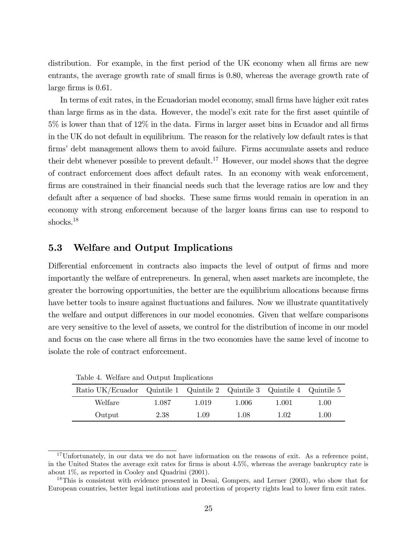distribution. For example, in the first period of the UK economy when all firms are new entrants, the average growth rate of small firms is 0.80, whereas the average growth rate of large firms is 0.61.

In terms of exit rates, in the Ecuadorian model economy, small firms have higher exit rates than large firms as in the data. However, the model's exit rate for the first asset quintile of 5% is lower than that of 12% in the data. Firms in larger asset bins in Ecuador and all firms in the UK do not default in equilibrium. The reason for the relatively low default rates is that firms' debt management allows them to avoid failure. Firms accumulate assets and reduce their debt whenever possible to prevent default.<sup>17</sup> However, our model shows that the degree of contract enforcement does affect default rates. In an economy with weak enforcement, firms are constrained in their financial needs such that the leverage ratios are low and they default after a sequence of bad shocks. These same firms would remain in operation in an economy with strong enforcement because of the larger loans firms can use to respond to shocks.<sup>18</sup>

#### 5.3 Welfare and Output Implications

Differential enforcement in contracts also impacts the level of output of firms and more importantly the welfare of entrepreneurs. In general, when asset markets are incomplete, the greater the borrowing opportunities, the better are the equilibrium allocations because firms have better tools to insure against fluctuations and failures. Now we illustrate quantitatively the welfare and output differences in our model economies. Given that welfare comparisons are very sensitive to the level of assets, we control for the distribution of income in our model and focus on the case where all firms in the two economies have the same level of income to isolate the role of contract enforcement.

Table 4. Welfare and Output Implications

| Ratio UK/Ecuador Quintile 1 Quintile 2 Quintile 3 Quintile 4 Quintile 5 |       |          |       |       |          |
|-------------------------------------------------------------------------|-------|----------|-------|-------|----------|
| Welfare                                                                 | 1.087 | 1.019    | 1.006 | 1.001 | $1.00\,$ |
| Output                                                                  | 2.38  | $1.09\,$ | 1.08  | 1.02  | 1.00     |

 $17$ Unfortunately, in our data we do not have information on the reasons of exit. As a reference point, in the United States the average exit rates for firms is about 4.5%, whereas the average bankruptcy rate is about 1%, as reported in Cooley and Quadrini (2001).

<sup>&</sup>lt;sup>18</sup>This is consistent with evidence presented in Desai, Gompers, and Lerner (2003), who show that for European countries, better legal institutions and protection of property rights lead to lower firm exit rates.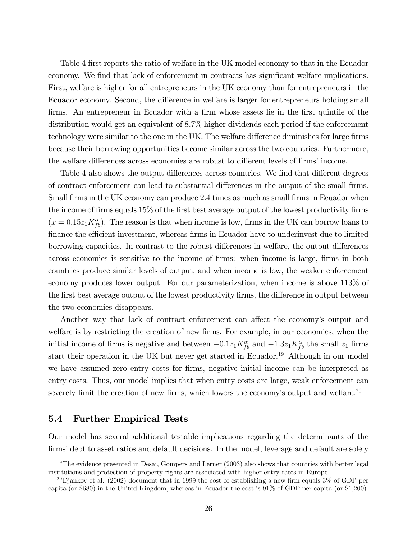Table 4 first reports the ratio of welfare in the UK model economy to that in the Ecuador economy. We find that lack of enforcement in contracts has significant welfare implications. First, welfare is higher for all entrepreneurs in the UK economy than for entrepreneurs in the Ecuador economy. Second, the difference in welfare is larger for entrepreneurs holding small firms. An entrepreneur in Ecuador with a firm whose assets lie in the first quintile of the distribution would get an equivalent of 8.7% higher dividends each period if the enforcement technology were similar to the one in the UK. The welfare difference diminishes for large firms because their borrowing opportunities become similar across the two countries. Furthermore, the welfare differences across economies are robust to different levels of firms' income.

Table 4 also shows the output differences across countries. We find that different degrees of contract enforcement can lead to substantial differences in the output of the small firms. Small firms in the UK economy can produce 2.4 times as much as small firms in Ecuador when the income of firms equals 15% of the first best average output of the lowest productivity firms  $(x = 0.15z_1K_{fb}^{\alpha})$ . The reason is that when income is low, firms in the UK can borrow loans to finance the efficient investment, whereas firms in Ecuador have to underinvest due to limited borrowing capacities. In contrast to the robust differences in welfare, the output differences across economies is sensitive to the income of firms: when income is large, firms in both countries produce similar levels of output, and when income is low, the weaker enforcement economy produces lower output. For our parameterization, when income is above 113% of the first best average output of the lowest productivity firms, the difference in output between the two economies disappears.

Another way that lack of contract enforcement can affect the economy's output and welfare is by restricting the creation of new firms. For example, in our economies, when the initial income of firms is negative and between  $-0.1z_1K_{fb}^{\alpha}$  and  $-1.3z_1K_{fb}^{\alpha}$  the small  $z_1$  firms start their operation in the UK but never get started in Ecuador.<sup>19</sup> Although in our model we have assumed zero entry costs for firms, negative initial income can be interpreted as entry costs. Thus, our model implies that when entry costs are large, weak enforcement can severely limit the creation of new firms, which lowers the economy's output and welfare.<sup>20</sup>

### 5.4 Further Empirical Tests

Our model has several additional testable implications regarding the determinants of the firms' debt to asset ratios and default decisions. In the model, leverage and default are solely

 $19$ The evidence presented in Desai, Gompers and Lerner (2003) also shows that countries with better legal institutions and protection of property rights are associated with higher entry rates in Europe.

<sup>&</sup>lt;sup>20</sup>Djankov et al. (2002) document that in 1999 the cost of establishing a new firm equals  $3\%$  of GDP per capita (or \$680) in the United Kingdom, whereas in Ecuador the cost is 91% of GDP per capita (or \$1,200).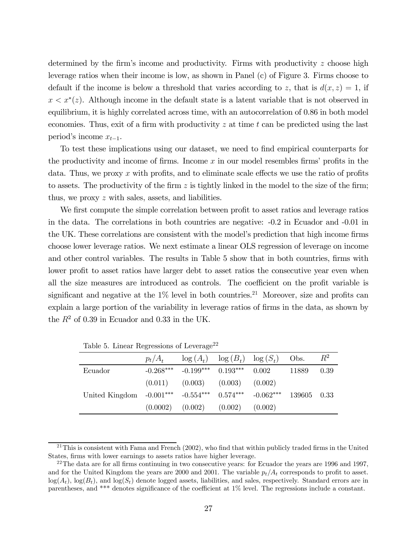determined by the firm's income and productivity. Firms with productivity z choose high leverage ratios when their income is low, as shown in Panel (c) of Figure 3. Firms choose to default if the income is below a threshold that varies according to z, that is  $d(x, z)=1$ , if  $x < x^*(z)$ . Although income in the default state is a latent variable that is not observed in equilibrium, it is highly correlated across time, with an autocorrelation of 0.86 in both model economies. Thus, exit of a firm with productivity  $z$  at time  $t$  can be predicted using the last period's income  $x_{t-1}$ .

To test these implications using our dataset, we need to find empirical counterparts for the productivity and income of firms. Income  $x$  in our model resembles firms' profits in the data. Thus, we proxy x with profits, and to eliminate scale effects we use the ratio of profits to assets. The productivity of the firm  $z$  is tightly linked in the model to the size of the firm; thus, we proxy z with sales, assets, and liabilities.

We first compute the simple correlation between profit to asset ratios and leverage ratios in the data. The correlations in both countries are negative: -0.2 in Ecuador and -0.01 in the UK. These correlations are consistent with the model's prediction that high income firms choose lower leverage ratios. We next estimate a linear OLS regression of leverage on income and other control variables. The results in Table 5 show that in both countries, firms with lower profit to asset ratios have larger debt to asset ratios the consecutive year even when all the size measures are introduced as controls. The coefficient on the profit variable is significant and negative at the  $1\%$  level in both countries.<sup>21</sup> Moreover, size and profits can explain a large portion of the variability in leverage ratios of firms in the data, as shown by the  $R^2$  of 0.39 in Ecuador and 0.33 in the UK.

|                                                                        | $p_t/A_t$   |                               | $\log(A_t)$ $\log(B_t)$ $\log(S_t)$ |         | Obs.  | $R^2$  |
|------------------------------------------------------------------------|-------------|-------------------------------|-------------------------------------|---------|-------|--------|
| Ecuador                                                                | $-0.268***$ |                               | $-0.199***$ $0.193***$ $0.002$      |         | 11889 | 0.39   |
|                                                                        | (0.011)     | $(0.003)$ $(0.003)$ $(0.002)$ |                                     |         |       |        |
| United Kingdom $-0.001***$ $-0.554***$ $0.574***$ $-0.062***$ $139605$ |             |                               |                                     |         |       | - 0.33 |
|                                                                        | (0.0002)    | $(0.002)$ $(0.002)$           |                                     | (0.002) |       |        |

Table 5. Linear Regressions of Leverage<sup>22</sup>

<sup>&</sup>lt;sup>21</sup>This is consistent with Fama and French (2002), who find that within publicly traded firms in the United States, firms with lower earnings to assets ratios have higher leverage.

 $^{22}$ The data are for all firms continuing in two consecutive years: for Ecuador the years are 1996 and 1997, and for the United Kingdom the years are 2000 and 2001. The variable  $p_t/A_t$  corresponds to profit to asset.  $\log(A_t)$ ,  $\log(B_t)$ , and  $\log(S_t)$  denote logged assets, liabilities, and sales, respectively. Standard errors are in parentheses, and \*\*\* denotes significance of the coefficient at 1% level. The regressions include a constant.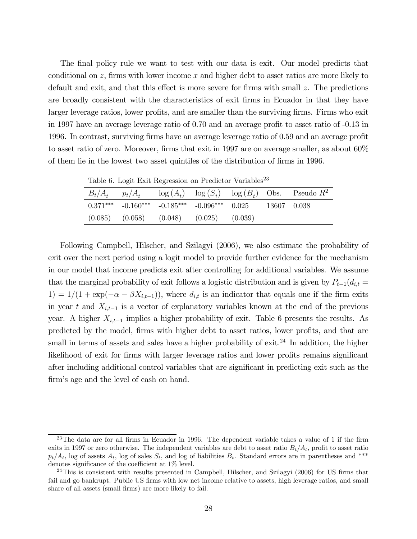The final policy rule we want to test with our data is exit. Our model predicts that conditional on  $z$ , firms with lower income  $x$  and higher debt to asset ratios are more likely to default and exit, and that this effect is more severe for firms with small z. The predictions are broadly consistent with the characteristics of exit firms in Ecuador in that they have larger leverage ratios, lower profits, and are smaller than the surviving firms. Firms who exit in 1997 have an average leverage ratio of 0.70 and an average profit to asset ratio of -0.13 in 1996. In contrast, surviving firms have an average leverage ratio of 0.59 and an average profit to asset ratio of zero. Moreover, firms that exit in 1997 are on average smaller, as about 60% of them lie in the lowest two asset quintiles of the distribution of firms in 1996.

Table 6. Logit Exit Regression on Predictor Variables<sup>23</sup>

| $B_t/A_t$ $p_t/A_t$ $\log(A_t)$ $\log(S_t)$ $\log(B_t)$ Obs. Pseudo $R^2$ |  |
|---------------------------------------------------------------------------|--|
| $0.371***$ $-0.160***$ $-0.185***$ $-0.096***$ $0.025$<br>- 13607 - 0.038 |  |
| $(0.085)$ $(0.058)$ $(0.048)$ $(0.025)$ $(0.039)$                         |  |

Following Campbell, Hilscher, and Szilagyi (2006), we also estimate the probability of exit over the next period using a logit model to provide further evidence for the mechanism in our model that income predicts exit after controlling for additional variables. We assume that the marginal probability of exit follows a logistic distribution and is given by  $P_{t-1}(d_{i,t} =$ 1) = 1/(1 + exp( $-\alpha - \beta X_{i,t-1}$ )), where  $d_{i,t}$  is an indicator that equals one if the firm exits in year t and  $X_{i,t-1}$  is a vector of explanatory variables known at the end of the previous year. A higher  $X_{i,t-1}$  implies a higher probability of exit. Table 6 presents the results. As predicted by the model, firms with higher debt to asset ratios, lower profits, and that are small in terms of assets and sales have a higher probability of exit.<sup>24</sup> In addition, the higher likelihood of exit for firms with larger leverage ratios and lower profits remains significant after including additional control variables that are significant in predicting exit such as the firm's age and the level of cash on hand.

 $^{23}$ The data are for all firms in Ecuador in 1996. The dependent variable takes a value of 1 if the firm exits in 1997 or zero otherwise. The independent variables are debt to asset ratio  $B_t/A_t$ , profit to asset ratio  $p_t/A_t$ , log of assets  $A_t$ , log of sales  $S_t$ , and log of liabilities  $B_t$ . Standard errors are in parentheses and \*\*\* denotes significance of the coefficient at 1% level.

 $^{24}$ This is consistent with results presented in Campbell, Hilscher, and Szilagyi (2006) for US firms that fail and go bankrupt. Public US firms with low net income relative to assets, high leverage ratios, and small share of all assets (small firms) are more likely to fail.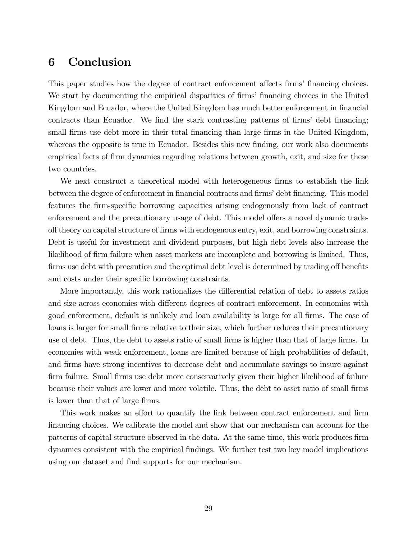## 6 Conclusion

This paper studies how the degree of contract enforcement affects firms' financing choices. We start by documenting the empirical disparities of firms' financing choices in the United Kingdom and Ecuador, where the United Kingdom has much better enforcement in financial contracts than Ecuador. We find the stark contrasting patterns of firms' debt financing; small firms use debt more in their total financing than large firms in the United Kingdom, whereas the opposite is true in Ecuador. Besides this new finding, our work also documents empirical facts of firm dynamics regarding relations between growth, exit, and size for these two countries.

We next construct a theoretical model with heterogeneous firms to establish the link between the degree of enforcement in financial contracts and firms' debt financing. This model features the firm-specific borrowing capacities arising endogenously from lack of contract enforcement and the precautionary usage of debt. This model offers a novel dynamic tradeoff theory on capital structure of firms with endogenous entry, exit, and borrowing constraints. Debt is useful for investment and dividend purposes, but high debt levels also increase the likelihood of firm failure when asset markets are incomplete and borrowing is limited. Thus, firms use debt with precaution and the optimal debt level is determined by trading off benefits and costs under their specific borrowing constraints.

More importantly, this work rationalizes the differential relation of debt to assets ratios and size across economies with different degrees of contract enforcement. In economies with good enforcement, default is unlikely and loan availability is large for all firms. The ease of loans is larger for small firms relative to their size, which further reduces their precautionary use of debt. Thus, the debt to assets ratio of small firms is higher than that of large firms. In economies with weak enforcement, loans are limited because of high probabilities of default, and firms have strong incentives to decrease debt and accumulate savings to insure against firm failure. Small firms use debt more conservatively given their higher likelihood of failure because their values are lower and more volatile. Thus, the debt to asset ratio of small firms is lower than that of large firms.

This work makes an effort to quantify the link between contract enforcement and firm financing choices. We calibrate the model and show that our mechanism can account for the patterns of capital structure observed in the data. At the same time, this work produces firm dynamics consistent with the empirical findings. We further test two key model implications using our dataset and find supports for our mechanism.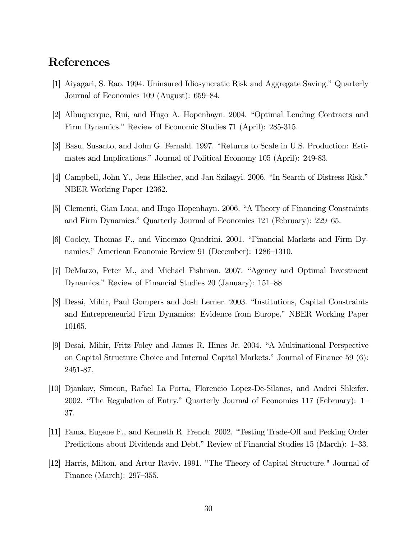### References

- [1] Aiyagari, S. Rao. 1994. Uninsured Idiosyncratic Risk and Aggregate Saving." Quarterly Journal of Economics 109 (August): 659—84.
- [2] Albuquerque, Rui, and Hugo A. Hopenhayn. 2004. "Optimal Lending Contracts and Firm Dynamics." Review of Economic Studies 71 (April): 285-315.
- [3] Basu, Susanto, and John G. Fernald. 1997. "Returns to Scale in U.S. Production: Estimates and Implications." Journal of Political Economy 105 (April): 249-83.
- [4] Campbell, John Y., Jens Hilscher, and Jan Szilagyi. 2006. "In Search of Distress Risk." NBER Working Paper 12362.
- [5] Clementi, Gian Luca, and Hugo Hopenhayn. 2006. "A Theory of Financing Constraints and Firm Dynamics." Quarterly Journal of Economics 121 (February): 229—65.
- [6] Cooley, Thomas F., and Vincenzo Quadrini. 2001. "Financial Markets and Firm Dynamics." American Economic Review 91 (December): 1286—1310.
- [7] DeMarzo, Peter M., and Michael Fishman. 2007. "Agency and Optimal Investment Dynamics." Review of Financial Studies 20 (January): 151—88
- [8] Desai, Mihir, Paul Gompers and Josh Lerner. 2003. "Institutions, Capital Constraints and Entrepreneurial Firm Dynamics: Evidence from Europe." NBER Working Paper 10165.
- [9] Desai, Mihir, Fritz Foley and James R. Hines Jr. 2004. "A Multinational Perspective on Capital Structure Choice and Internal Capital Markets." Journal of Finance 59 (6): 2451-87.
- [10] Djankov, Simeon, Rafael La Porta, Florencio Lopez-De-Silanes, and Andrei Shleifer. 2002. "The Regulation of Entry." Quarterly Journal of Economics 117 (February): 1— 37.
- [11] Fama, Eugene F., and Kenneth R. French. 2002. "Testing Trade-Off and Pecking Order Predictions about Dividends and Debt." Review of Financial Studies 15 (March): 1—33.
- [12] Harris, Milton, and Artur Raviv. 1991. "The Theory of Capital Structure." Journal of Finance (March): 297—355.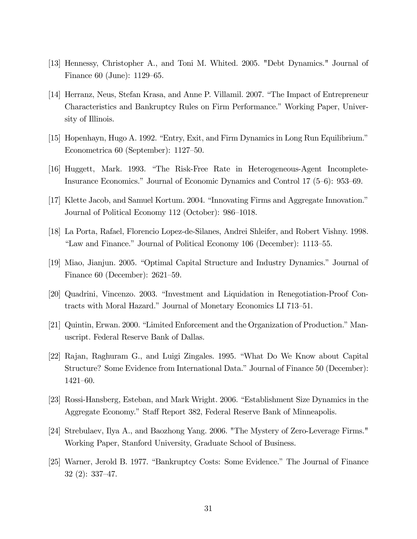- [13] Hennessy, Christopher A., and Toni M. Whited. 2005. "Debt Dynamics." Journal of Finance 60 (June): 1129—65.
- [14] Herranz, Neus, Stefan Krasa, and Anne P. Villamil. 2007. "The Impact of Entrepreneur Characteristics and Bankruptcy Rules on Firm Performance." Working Paper, University of Illinois.
- [15] Hopenhayn, Hugo A. 1992. "Entry, Exit, and Firm Dynamics in Long Run Equilibrium." Econometrica 60 (September): 1127—50.
- [16] Huggett, Mark. 1993. "The Risk-Free Rate in Heterogeneous-Agent Incomplete-Insurance Economics." Journal of Economic Dynamics and Control 17 (5—6): 953—69.
- [17] Klette Jacob, and Samuel Kortum. 2004. "Innovating Firms and Aggregate Innovation." Journal of Political Economy 112 (October): 986—1018.
- [18] La Porta, Rafael, Florencio Lopez-de-Silanes, Andrei Shleifer, and Robert Vishny. 1998. "Law and Finance." Journal of Political Economy 106 (December): 1113—55.
- [19] Miao, Jianjun. 2005. "Optimal Capital Structure and Industry Dynamics." Journal of Finance 60 (December): 2621—59.
- [20] Quadrini, Vincenzo. 2003. "Investment and Liquidation in Renegotiation-Proof Contracts with Moral Hazard." Journal of Monetary Economics LI 713—51.
- [21] Quintin, Erwan. 2000. "Limited Enforcement and the Organization of Production." Manuscript. Federal Reserve Bank of Dallas.
- [22] Rajan, Raghuram G., and Luigi Zingales. 1995. "What Do We Know about Capital Structure? Some Evidence from International Data." Journal of Finance 50 (December): 1421—60.
- [23] Rossi-Hansberg, Esteban, and Mark Wright. 2006. "Establishment Size Dynamics in the Aggregate Economy." Staff Report 382, Federal Reserve Bank of Minneapolis.
- [24] Strebulaev, Ilya A., and Baozhong Yang. 2006. "The Mystery of Zero-Leverage Firms." Working Paper, Stanford University, Graduate School of Business.
- [25] Warner, Jerold B. 1977. "Bankruptcy Costs: Some Evidence." The Journal of Finance 32 (2): 337—47.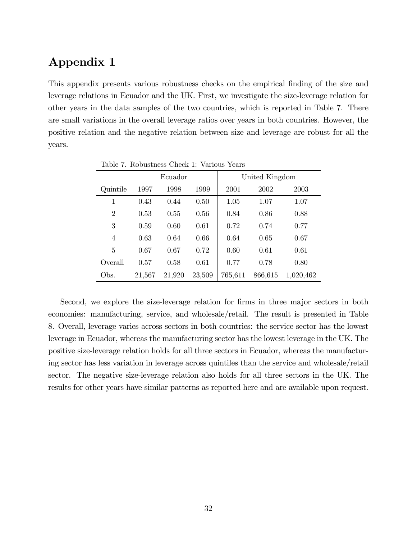# Appendix 1

This appendix presents various robustness checks on the empirical finding of the size and leverage relations in Ecuador and the UK. First, we investigate the size-leverage relation for other years in the data samples of the two countries, which is reported in Table 7. There are small variations in the overall leverage ratios over years in both countries. However, the positive relation and the negative relation between size and leverage are robust for all the years.

|                |        | Ecuador |        | United Kingdom |         |           |
|----------------|--------|---------|--------|----------------|---------|-----------|
| Quintile       | 1997   | 1998    | 1999   | 2001           | 2002    | 2003      |
| 1              | 0.43   | 0.44    | 0.50   | 1.05           | 1.07    | 1.07      |
| $\overline{2}$ | 0.53   | 0.55    | 0.56   | 0.84           | 0.86    | 0.88      |
| 3              | 0.59   | 0.60    | 0.61   | 0.72           | 0.74    | 0.77      |
| 4              | 0.63   | 0.64    | 0.66   | 0.64           | 0.65    | 0.67      |
| 5              | 0.67   | 0.67    | 0.72   | 0.60           | 0.61    | 0.61      |
| Overall        | 0.57   | 0.58    | 0.61   | 0.77           | 0.78    | 0.80      |
| Obs.           | 21,567 | 21,920  | 23,509 | 765,611        | 866,615 | 1,020,462 |

Table 7. Robustness Check 1: Various Years

Second, we explore the size-leverage relation for firms in three major sectors in both economies: manufacturing, service, and wholesale/retail. The result is presented in Table 8. Overall, leverage varies across sectors in both countries: the service sector has the lowest leverage in Ecuador, whereas the manufacturing sector has the lowest leverage in the UK. The positive size-leverage relation holds for all three sectors in Ecuador, whereas the manufacturing sector has less variation in leverage across quintiles than the service and wholesale/retail sector. The negative size-leverage relation also holds for all three sectors in the UK. The results for other years have similar patterns as reported here and are available upon request.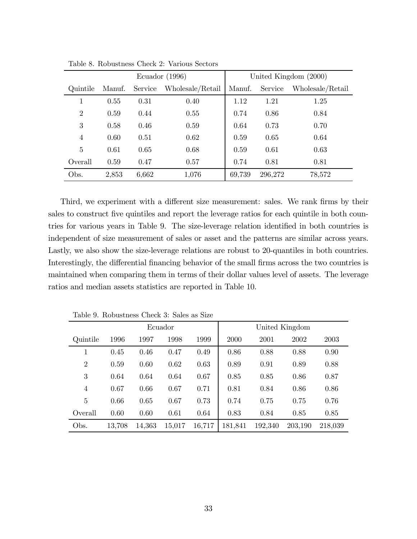|                | Ecuador (1996) |         |                  |        |         | United Kingdom (2000) |
|----------------|----------------|---------|------------------|--------|---------|-----------------------|
| Quintile       | Manuf.         | Service | Wholesale/Retail | Manuf. | Service | Wholesale/Retail      |
| 1              | 0.55           | 0.31    | 0.40             | 1.12   | 1.21    | 1.25                  |
| $\overline{2}$ | 0.59           | 0.44    | 0.55             | 0.74   | 0.86    | 0.84                  |
| 3              | 0.58           | 0.46    | 0.59             | 0.64   | 0.73    | 0.70                  |
| $\overline{4}$ | 0.60           | 0.51    | 0.62             | 0.59   | 0.65    | 0.64                  |
| 5              | 0.61           | 0.65    | 0.68             | 0.59   | 0.61    | 0.63                  |
| Overall        | 0.59           | 0.47    | 0.57             | 0.74   | 0.81    | 0.81                  |
| Obs.           | 2,853          | 6,662   | 1,076            | 69,739 | 296,272 | 78,572                |

Table 8. Robustness Check 2: Various Sectors

Third, we experiment with a different size measurement: sales. We rank firms by their sales to construct five quintiles and report the leverage ratios for each quintile in both countries for various years in Table 9. The size-leverage relation identified in both countries is independent of size measurement of sales or asset and the patterns are similar across years. Lastly, we also show the size-leverage relations are robust to 20-quantiles in both countries. Interestingly, the differential financing behavior of the small firms across the two countries is maintained when comparing them in terms of their dollar values level of assets. The leverage ratios and median assets statistics are reported in Table 10.

|                |        |        | Ecuador |        |         |         | United Kingdom |         |
|----------------|--------|--------|---------|--------|---------|---------|----------------|---------|
| Quintile       | 1996   | 1997   | 1998    | 1999   | 2000    | 2001    | 2002           | 2003    |
|                | 0.45   | 0.46   | 0.47    | 0.49   | 0.86    | 0.88    | 0.88           | 0.90    |
| $\overline{2}$ | 0.59   | 0.60   | 0.62    | 0.63   | 0.89    | 0.91    | 0.89           | 0.88    |
| 3              | 0.64   | 0.64   | 0.64    | 0.67   | 0.85    | 0.85    | 0.86           | 0.87    |
| $\overline{4}$ | 0.67   | 0.66   | 0.67    | 0.71   | 0.81    | 0.84    | 0.86           | 0.86    |
| 5              | 0.66   | 0.65   | 0.67    | 0.73   | 0.74    | 0.75    | 0.75           | 0.76    |
| Overall        | 0.60   | 0.60   | 0.61    | 0.64   | 0.83    | 0.84    | 0.85           | 0.85    |
| Obs.           | 13,708 | 14,363 | 15,017  | 16,717 | 181,841 | 192,340 | 203,190        | 218,039 |

Table 9. Robustness Check 3: Sales as Size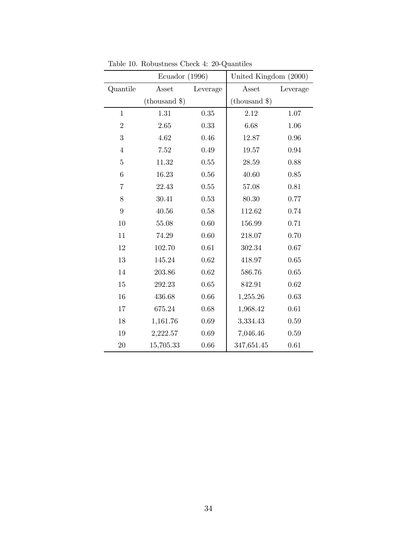|                | Ecuador $(1996)$                 |          | United Kingdom (2000) |          |
|----------------|----------------------------------|----------|-----------------------|----------|
| Quantile       | Asset                            | Leverage | Asset                 | Leverage |
|                | $(\text{thousand }$ $\text{\$})$ |          | $(\text{thousand }$   |          |
| $\mathbf{1}$   | 1.31                             | 0.35     | 2.12                  | 1.07     |
| $\overline{2}$ | 2.65                             | 0.33     | 6.68                  | 1.06     |
| 3              | 4.62                             | 0.46     | 12.87                 | 0.96     |
| $\overline{4}$ | 7.52                             | 0.49     | 19.57                 | 0.94     |
| $\overline{5}$ | 11.32                            | 0.55     | 28.59                 | 0.88     |
| $\,6$          | 16.23                            | 0.56     | 40.60                 | 0.85     |
| $\overline{7}$ | 22.43                            | 0.55     | 57.08                 | 0.81     |
| $8\,$          | 30.41                            | 0.53     | 80.30                 | 0.77     |
| $\overline{9}$ | 40.56                            | 0.58     | 112.62                | 0.74     |
| 10             | 55.08                            | 0.60     | 156.99                | 0.71     |
| 11             | 74.29                            | 0.60     | 218.07                | 0.70     |
| $12\,$         | 102.70                           | 0.61     | 302.34                | 0.67     |
| 13             | 145.24                           | 0.62     | 418.97                | 0.65     |
| 14             | 203.86                           | 0.62     | 586.76                | 0.65     |
| 15             | 292.23                           | 0.65     | 842.91                | 0.62     |
| 16             | 436.68                           | 0.66     | 1,255.26              | 0.63     |
| 17             | 675.24                           | 0.68     | 1,968.42              | 0.61     |
| 18             | 1,161.76                         | 0.69     | 3,334.43              | 0.59     |
| 19             | 2,222.57                         | 0.69     | 7,046.46              | 0.59     |
| 20             | 15,705.33                        | 0.66     | 347,651.45            | 0.61     |

Table 10. Robustness Check 4: 20-Quantiles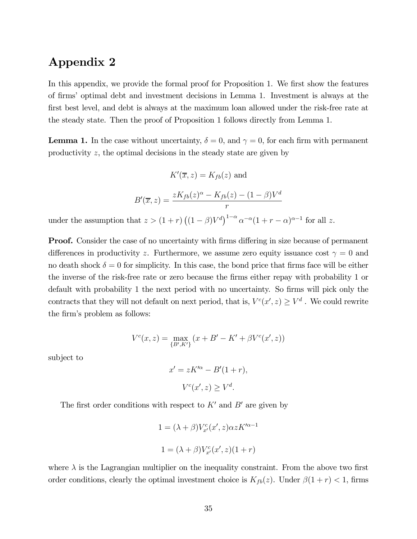### Appendix 2

In this appendix, we provide the formal proof for Proposition 1. We first show the features of firms' optimal debt and investment decisions in Lemma 1. Investment is always at the first best level, and debt is always at the maximum loan allowed under the risk-free rate at the steady state. Then the proof of Proposition 1 follows directly from Lemma 1.

**Lemma 1.** In the case without uncertainty,  $\delta = 0$ , and  $\gamma = 0$ , for each firm with permanent productivity z, the optimal decisions in the steady state are given by

$$
K'(\overline{x}, z) = K_{fb}(z) \text{ and}
$$

$$
B'(\overline{x}, z) = \frac{zK_{fb}(z)^{\alpha} - K_{fb}(z) - (1 - \beta)V^{d}}{r}
$$

under the assumption that  $z > (1+r) ((1-\beta)V^d)^{1-\alpha} \alpha^{-\alpha} (1+r-\alpha)^{\alpha-1}$  for all z.

**Proof.** Consider the case of no uncertainty with firms differing in size because of permanent differences in productivity z. Furthermore, we assume zero equity issuance cost  $\gamma = 0$  and no death shock  $\delta = 0$  for simplicity. In this case, the bond price that firms face will be either the inverse of the risk-free rate or zero because the firms either repay with probability 1 or default with probability 1 the next period with no uncertainty. So firms will pick only the contracts that they will not default on next period, that is,  $V^c(x', z) \geq V^d$ . We could rewrite the firm's problem as follows:

$$
V^{c}(x, z) = \max_{\{B', K'\}} (x + B' - K' + \beta V^{c}(x', z))
$$

subject to

$$
x' = zK^{\prime\alpha} - B'(1+r),
$$
  

$$
V^{c}(x', z) \ge V^{d}.
$$

The first order conditions with respect to  $K'$  and  $B'$  are given by

$$
1 = (\lambda + \beta)V_{x'}^c(x', z)\alpha z K'^{\alpha - 1}
$$

$$
1 = (\lambda + \beta)V_{x'}^c(x', z)(1 + r)
$$

where  $\lambda$  is the Lagrangian multiplier on the inequality constraint. From the above two first order conditions, clearly the optimal investment choice is  $K_{fb}(z)$ . Under  $\beta(1+r) < 1$ , firms